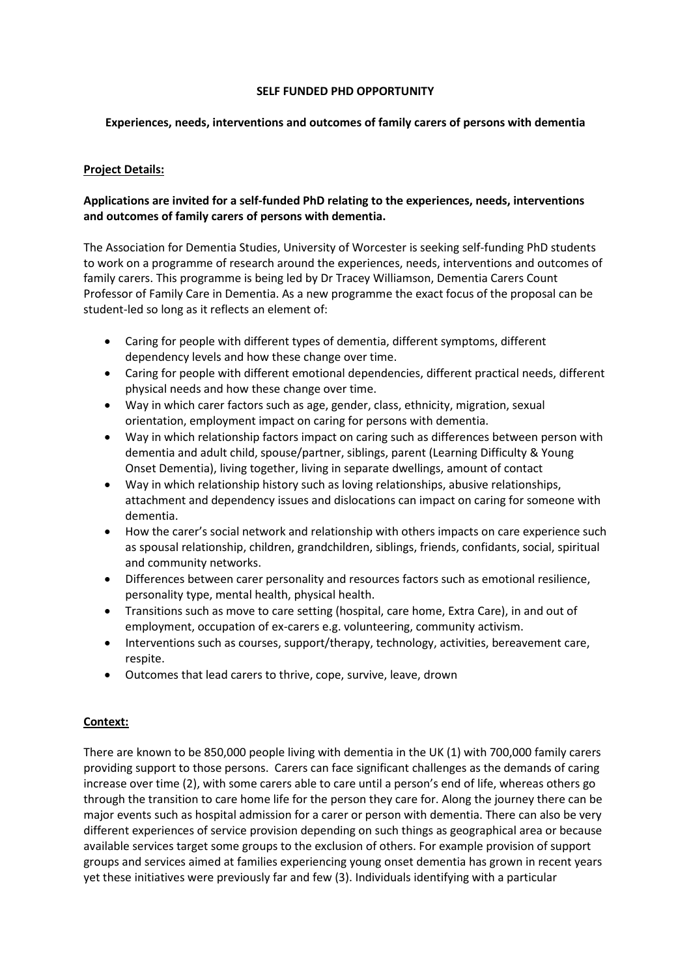### **SELF FUNDED PHD OPPORTUNITY**

## **Experiences, needs, interventions and outcomes of family carers of persons with dementia**

## **Project Details:**

## **Applications are invited for a self-funded PhD relating to the experiences, needs, interventions and outcomes of family carers of persons with dementia.**

The Association for Dementia Studies, University of Worcester is seeking self-funding PhD students to work on a programme of research around the experiences, needs, interventions and outcomes of family carers. This programme is being led by Dr Tracey Williamson, Dementia Carers Count Professor of Family Care in Dementia. As a new programme the exact focus of the proposal can be student-led so long as it reflects an element of:

- Caring for people with different types of dementia, different symptoms, different dependency levels and how these change over time.
- Caring for people with different emotional dependencies, different practical needs, different physical needs and how these change over time.
- Way in which carer factors such as age, gender, class, ethnicity, migration, sexual orientation, employment impact on caring for persons with dementia.
- Way in which relationship factors impact on caring such as differences between person with dementia and adult child, spouse/partner, siblings, parent (Learning Difficulty & Young Onset Dementia), living together, living in separate dwellings, amount of contact
- Way in which relationship history such as loving relationships, abusive relationships, attachment and dependency issues and dislocations can impact on caring for someone with dementia.
- How the carer's social network and relationship with others impacts on care experience such as spousal relationship, children, grandchildren, siblings, friends, confidants, social, spiritual and community networks.
- Differences between carer personality and resources factors such as emotional resilience, personality type, mental health, physical health.
- Transitions such as move to care setting (hospital, care home, Extra Care), in and out of employment, occupation of ex-carers e.g. volunteering, community activism.
- Interventions such as courses, support/therapy, technology, activities, bereavement care, respite.
- Outcomes that lead carers to thrive, cope, survive, leave, drown

### **Context:**

There are known to be 850,000 people living with dementia in the UK (1) with 700,000 family carers providing support to those persons. Carers can face significant challenges as the demands of caring increase over time (2), with some carers able to care until a person's end of life, whereas others go through the transition to care home life for the person they care for. Along the journey there can be major events such as hospital admission for a carer or person with dementia. There can also be very different experiences of service provision depending on such things as geographical area or because available services target some groups to the exclusion of others. For example provision of support groups and services aimed at families experiencing young onset dementia has grown in recent years yet these initiatives were previously far and few (3). Individuals identifying with a particular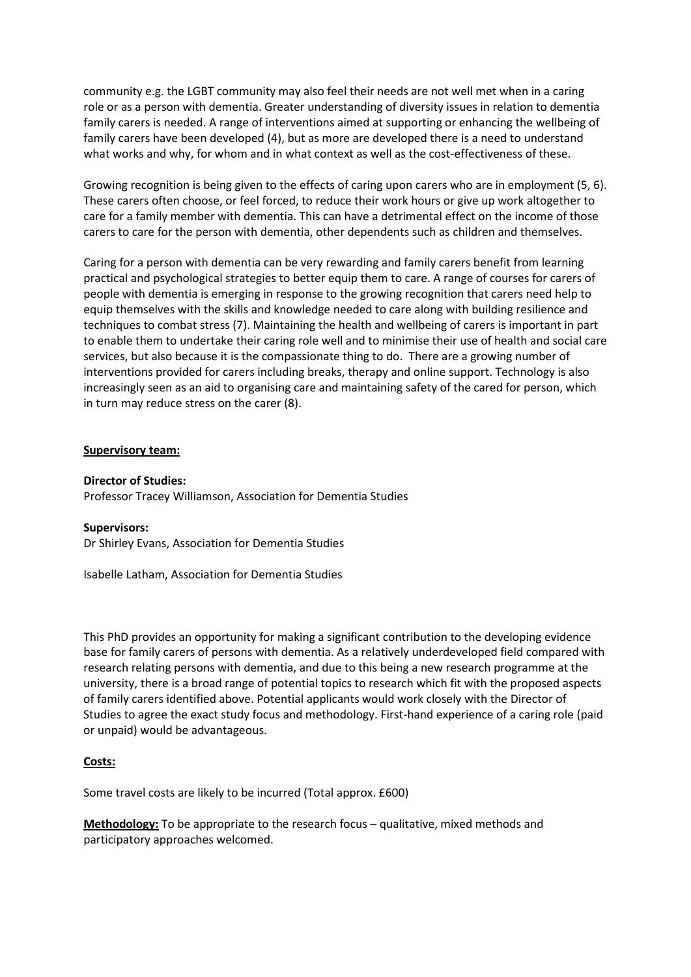community e.g. the LGBT community may also feel their needs are not well met when in a caring role or as a person with dementia. Greater understanding of diversity issues in relation to dementia family carers is needed. A range of interventions aimed at supporting or enhancing the wellbeing of family carers have been developed (4), but as more are developed there is a need to understand what works and why, for whom and in what context as well as the cost-effectiveness of these.

Growing recognition is being given to the effects of caring upon carers who are in employment (5, 6). These carers often choose, or feel forced, to reduce their work hours or give up work altogether to care for a family member with dementia. This can have a detrimental effect on the income of those carers to care for the person with dementia, other dependents such as children and themselves.

Caring for a person with dementia can be very rewarding and family carers benefit from learning practical and psychological strategies to better equip them to care. A range of courses for carers of people with dementia is emerging in response to the growing recognition that carers need help to equip themselves with the skills and knowledge needed to care along with building resilience and techniques to combat stress (7). Maintaining the health and wellbeing of carers is important in part to enable them to undertake their caring role well and to minimise their use of health and social care services, but also because it is the compassionate thing to do. There are a growing number of interventions provided for carers including breaks, therapy and online support. Technology is also increasingly seen as an aid to organising care and maintaining safety of the cared for person, which in turn may reduce stress on the carer (8).

#### **Supervisory team:**

**Director of Studies:** Professor Tracey Williamson, Association for Dementia Studies

### **Supervisors:**

Dr Shirley Evans, Association for Dementia Studies

Isabelle Latham, Association for Dementia Studies

This PhD provides an opportunity for making a significant contribution to the developing evidence base for family carers of persons with dementia. As a relatively underdeveloped field compared with research relating persons with dementia, and due to this being a new research programme at the university, there is a broad range of potential topics to research which fit with the proposed aspects of family carers identified above. Potential applicants would work closely with the Director of Studies to agree the exact study focus and methodology. First-hand experience of a caring role (paid or unpaid) would be advantageous.

# **Costs:**

Some travel costs are likely to be incurred (Total approx. £600)

**Methodology:** To be appropriate to the research focus – qualitative, mixed methods and participatory approaches welcomed.